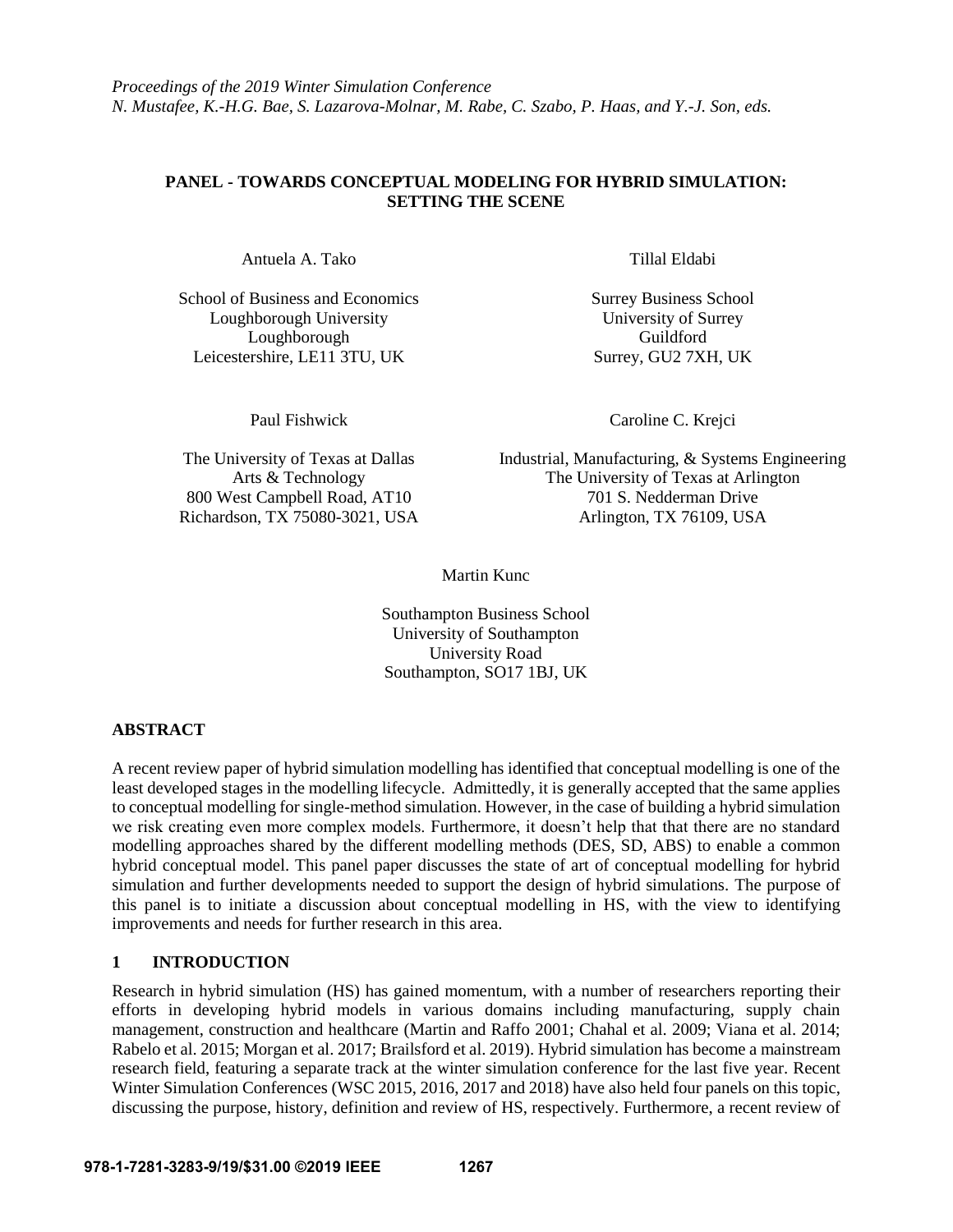*Proceedings of the 2019 Winter Simulation Conference N. Mustafee, K.-H.G. Bae, S. Lazarova-Molnar, M. Rabe, C. Szabo, P. Haas, and Y.-J. Son, eds.*

# **PANEL - TOWARDS CONCEPTUAL MODELING FOR HYBRID SIMULATION: SETTING THE SCENE**

Antuela A. Tako Tillal Eldabi

School of Business and Economics Surrey Business School Loughborough University University of Surrey Loughborough Guildford Leicestershire, LE11 3TU, UK Surrey, GU2 7XH, UK

Paul Fishwick Caroline C. Krejci

The University of Texas at Dallas Industrial, Manufacturing, & Systems Engineering Arts & Technology The University of Texas at Arlington 800 West Campbell Road, AT10 701 S. Nedderman Drive Richardson, TX 75080-3021, USA <br>Arlington, TX 76109, USA

Martin Kunc

Southampton Business School University of Southampton University Road Southampton, SO17 1BJ, UK

# **ABSTRACT**

A recent review paper of hybrid simulation modelling has identified that conceptual modelling is one of the least developed stages in the modelling lifecycle. Admittedly, it is generally accepted that the same applies to conceptual modelling for single-method simulation. However, in the case of building a hybrid simulation we risk creating even more complex models. Furthermore, it doesn't help that that there are no standard modelling approaches shared by the different modelling methods (DES, SD, ABS) to enable a common hybrid conceptual model. This panel paper discusses the state of art of conceptual modelling for hybrid simulation and further developments needed to support the design of hybrid simulations. The purpose of this panel is to initiate a discussion about conceptual modelling in HS, with the view to identifying improvements and needs for further research in this area.

# **1 INTRODUCTION**

Research in hybrid simulation (HS) has gained momentum, with a number of researchers reporting their efforts in developing hybrid models in various domains including manufacturing, supply chain management, construction and healthcare (Martin and Raffo 2001; Chahal et al. 2009; Viana et al. 2014; Rabelo et al. 2015; Morgan et al. 2017; Brailsford et al. 2019). Hybrid simulation has become a mainstream research field, featuring a separate track at the winter simulation conference for the last five year. Recent Winter Simulation Conferences (WSC 2015, 2016, 2017 and 2018) have also held four panels on this topic, discussing the purpose, history, definition and review of HS, respectively. Furthermore, a recent review of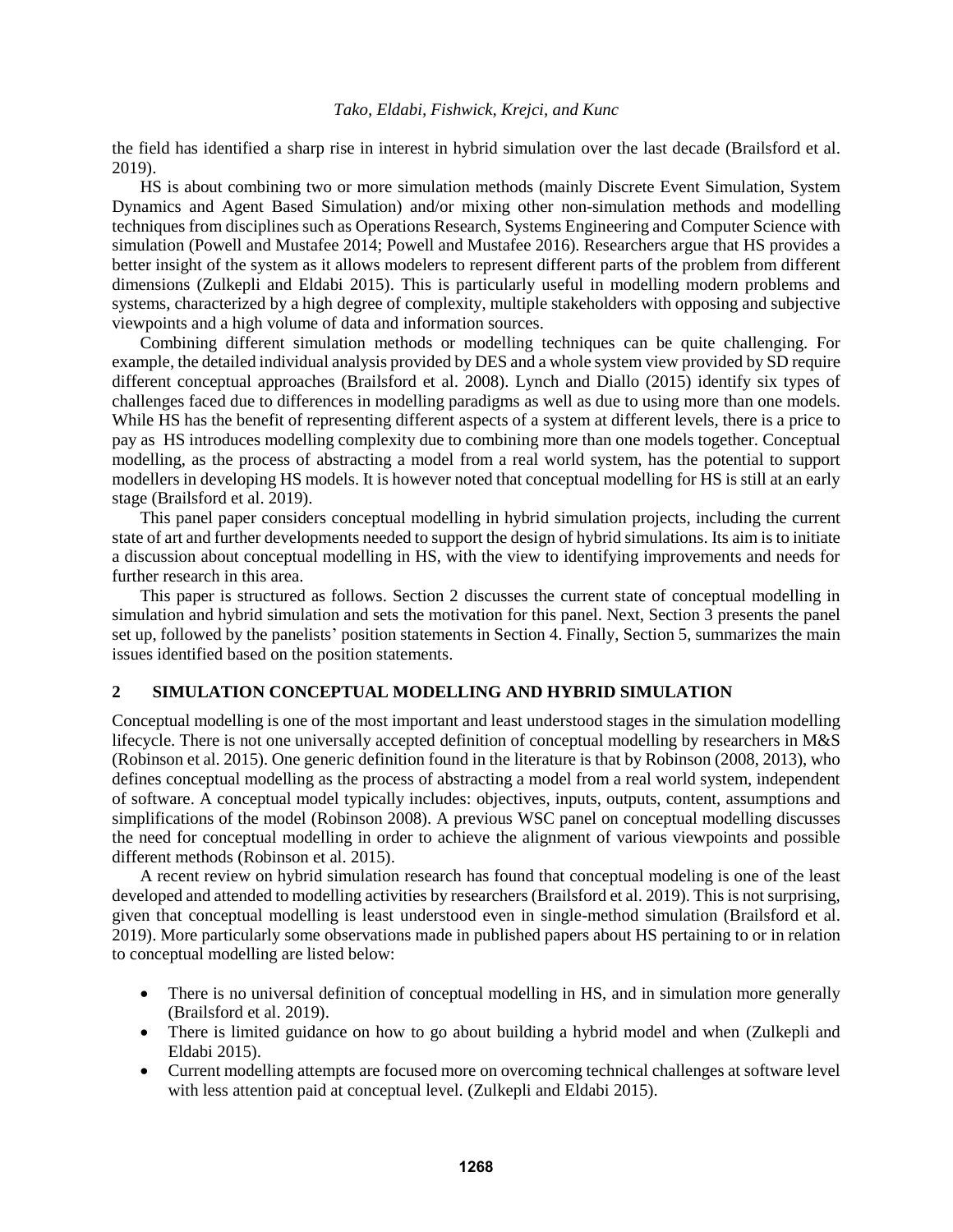the field has identified a sharp rise in interest in hybrid simulation over the last decade (Brailsford et al. 2019).

HS is about combining two or more simulation methods (mainly Discrete Event Simulation, System Dynamics and Agent Based Simulation) and/or mixing other non-simulation methods and modelling techniques from disciplines such as Operations Research, Systems Engineering and Computer Science with simulation (Powell and Mustafee 2014; Powell and Mustafee 2016). Researchers argue that HS provides a better insight of the system as it allows modelers to represent different parts of the problem from different dimensions (Zulkepli and Eldabi 2015). This is particularly useful in modelling modern problems and systems, characterized by a high degree of complexity, multiple stakeholders with opposing and subjective viewpoints and a high volume of data and information sources.

Combining different simulation methods or modelling techniques can be quite challenging. For example, the detailed individual analysis provided by DES and a whole system view provided by SD require different conceptual approaches (Brailsford et al. 2008). Lynch and Diallo (2015) identify six types of challenges faced due to differences in modelling paradigms as well as due to using more than one models. While HS has the benefit of representing different aspects of a system at different levels, there is a price to pay as HS introduces modelling complexity due to combining more than one models together. Conceptual modelling, as the process of abstracting a model from a real world system, has the potential to support modellers in developing HS models. It is however noted that conceptual modelling for HS is still at an early stage (Brailsford et al. 2019).

This panel paper considers conceptual modelling in hybrid simulation projects, including the current state of art and further developments needed to support the design of hybrid simulations. Its aim is to initiate a discussion about conceptual modelling in HS, with the view to identifying improvements and needs for further research in this area.

This paper is structured as follows. Section 2 discusses the current state of conceptual modelling in simulation and hybrid simulation and sets the motivation for this panel. Next, Section 3 presents the panel set up, followed by the panelists' position statements in Section 4. Finally, Section 5, summarizes the main issues identified based on the position statements.

### **2 SIMULATION CONCEPTUAL MODELLING AND HYBRID SIMULATION**

Conceptual modelling is one of the most important and least understood stages in the simulation modelling lifecycle. There is not one universally accepted definition of conceptual modelling by researchers in M&S (Robinson et al. 2015). One generic definition found in the literature is that by Robinson (2008, 2013), who defines conceptual modelling as the process of abstracting a model from a real world system, independent of software. A conceptual model typically includes: objectives, inputs, outputs, content, assumptions and simplifications of the model (Robinson 2008). A previous WSC panel on conceptual modelling discusses the need for conceptual modelling in order to achieve the alignment of various viewpoints and possible different methods (Robinson et al. 2015).

A recent review on hybrid simulation research has found that conceptual modeling is one of the least developed and attended to modelling activities by researchers (Brailsford et al. 2019). This is not surprising, given that conceptual modelling is least understood even in single-method simulation (Brailsford et al. 2019). More particularly some observations made in published papers about HS pertaining to or in relation to conceptual modelling are listed below:

- There is no universal definition of conceptual modelling in HS, and in simulation more generally (Brailsford et al. 2019).
- There is limited guidance on how to go about building a hybrid model and when (Zulkepli and Eldabi 2015).
- Current modelling attempts are focused more on overcoming technical challenges at software level with less attention paid at conceptual level. (Zulkepli and Eldabi 2015).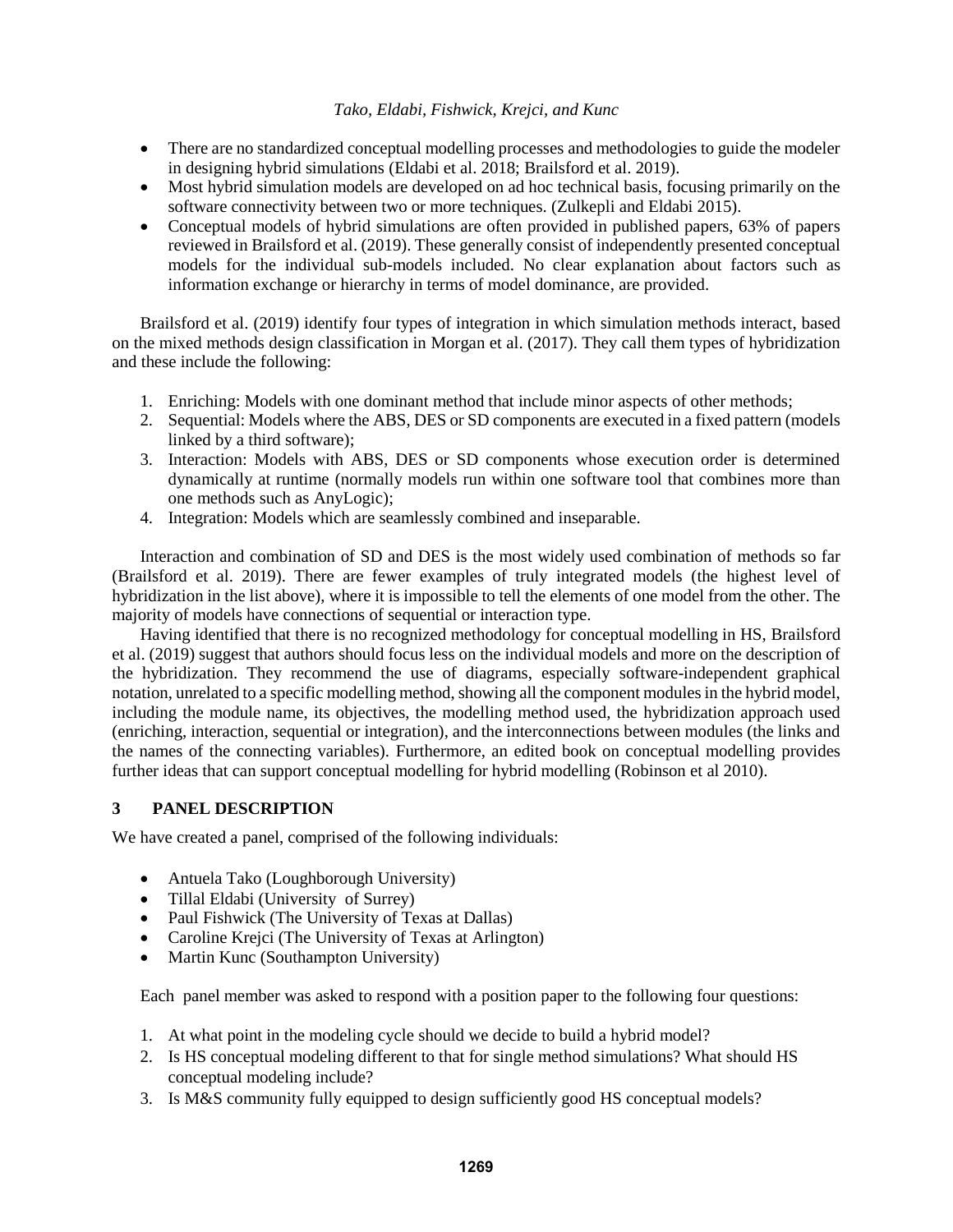- There are no standardized conceptual modelling processes and methodologies to guide the modeler in designing hybrid simulations (Eldabi et al. 2018; Brailsford et al. 2019).
- Most hybrid simulation models are developed on ad hoc technical basis, focusing primarily on the software connectivity between two or more techniques. (Zulkepli and Eldabi 2015).
- Conceptual models of hybrid simulations are often provided in published papers, 63% of papers reviewed in Brailsford et al. (2019). These generally consist of independently presented conceptual models for the individual sub-models included. No clear explanation about factors such as information exchange or hierarchy in terms of model dominance, are provided.

Brailsford et al. (2019) identify four types of integration in which simulation methods interact, based on the mixed methods design classification in Morgan et al. (2017). They call them types of hybridization and these include the following:

- 1. Enriching: Models with one dominant method that include minor aspects of other methods;
- 2. Sequential: Models where the ABS, DES or SD components are executed in a fixed pattern (models linked by a third software);
- 3. Interaction: Models with ABS, DES or SD components whose execution order is determined dynamically at runtime (normally models run within one software tool that combines more than one methods such as AnyLogic);
- 4. Integration: Models which are seamlessly combined and inseparable.

Interaction and combination of SD and DES is the most widely used combination of methods so far (Brailsford et al. 2019). There are fewer examples of truly integrated models (the highest level of hybridization in the list above), where it is impossible to tell the elements of one model from the other. The majority of models have connections of sequential or interaction type.

Having identified that there is no recognized methodology for conceptual modelling in HS, Brailsford et al. (2019) suggest that authors should focus less on the individual models and more on the description of the hybridization. They recommend the use of diagrams, especially software-independent graphical notation, unrelated to a specific modelling method, showing all the component modules in the hybrid model, including the module name, its objectives, the modelling method used, the hybridization approach used (enriching, interaction, sequential or integration), and the interconnections between modules (the links and the names of the connecting variables). Furthermore, an edited book on conceptual modelling provides further ideas that can support conceptual modelling for hybrid modelling (Robinson et al 2010).

# **3 PANEL DESCRIPTION**

We have created a panel, comprised of the following individuals:

- Antuela Tako (Loughborough University)
- Tillal Eldabi (University of Surrey)
- Paul Fishwick (The University of Texas at Dallas)
- Caroline Krejci (The University of Texas at Arlington)
- Martin Kunc (Southampton University)

Each panel member was asked to respond with a position paper to the following four questions:

- 1. At what point in the modeling cycle should we decide to build a hybrid model?
- 2. Is HS conceptual modeling different to that for single method simulations? What should HS conceptual modeling include?
- 3. Is M&S community fully equipped to design sufficiently good HS conceptual models?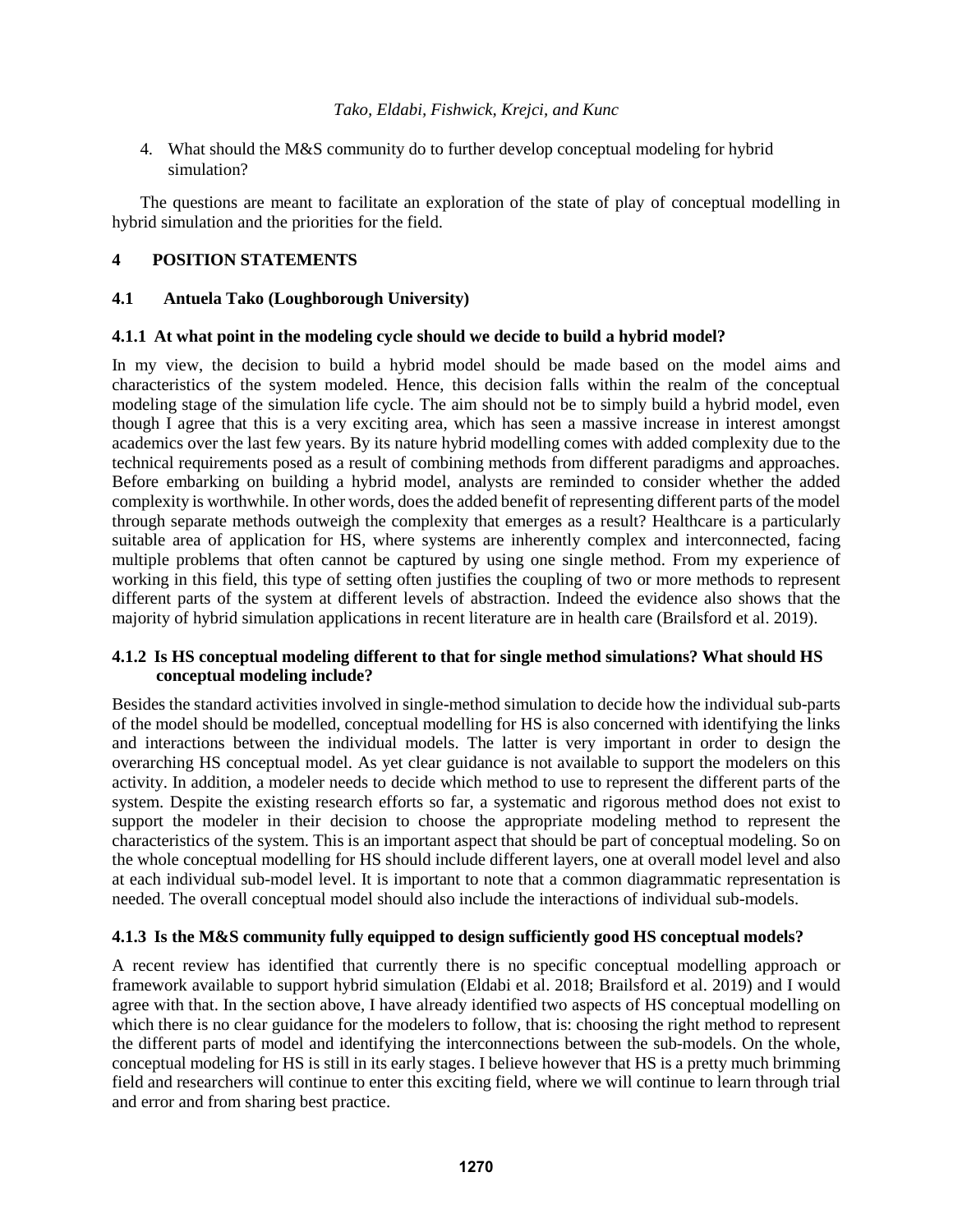4. What should the M&S community do to further develop conceptual modeling for hybrid simulation?

The questions are meant to facilitate an exploration of the state of play of conceptual modelling in hybrid simulation and the priorities for the field.

# **4 POSITION STATEMENTS**

### **4.1 Antuela Tako (Loughborough University)**

# **4.1.1 At what point in the modeling cycle should we decide to build a hybrid model?**

In my view, the decision to build a hybrid model should be made based on the model aims and characteristics of the system modeled. Hence, this decision falls within the realm of the conceptual modeling stage of the simulation life cycle. The aim should not be to simply build a hybrid model, even though I agree that this is a very exciting area, which has seen a massive increase in interest amongst academics over the last few years. By its nature hybrid modelling comes with added complexity due to the technical requirements posed as a result of combining methods from different paradigms and approaches. Before embarking on building a hybrid model, analysts are reminded to consider whether the added complexity is worthwhile. In other words, does the added benefit of representing different parts of the model through separate methods outweigh the complexity that emerges as a result? Healthcare is a particularly suitable area of application for HS, where systems are inherently complex and interconnected, facing multiple problems that often cannot be captured by using one single method. From my experience of working in this field, this type of setting often justifies the coupling of two or more methods to represent different parts of the system at different levels of abstraction. Indeed the evidence also shows that the majority of hybrid simulation applications in recent literature are in health care (Brailsford et al. 2019).

# **4.1.2 Is HS conceptual modeling different to that for single method simulations? What should HS conceptual modeling include?**

Besides the standard activities involved in single-method simulation to decide how the individual sub-parts of the model should be modelled, conceptual modelling for HS is also concerned with identifying the links and interactions between the individual models. The latter is very important in order to design the overarching HS conceptual model. As yet clear guidance is not available to support the modelers on this activity. In addition, a modeler needs to decide which method to use to represent the different parts of the system. Despite the existing research efforts so far, a systematic and rigorous method does not exist to support the modeler in their decision to choose the appropriate modeling method to represent the characteristics of the system. This is an important aspect that should be part of conceptual modeling. So on the whole conceptual modelling for HS should include different layers, one at overall model level and also at each individual sub-model level. It is important to note that a common diagrammatic representation is needed. The overall conceptual model should also include the interactions of individual sub-models.

# **4.1.3 Is the M&S community fully equipped to design sufficiently good HS conceptual models?**

A recent review has identified that currently there is no specific conceptual modelling approach or framework available to support hybrid simulation (Eldabi et al. 2018; Brailsford et al. 2019) and I would agree with that. In the section above, I have already identified two aspects of HS conceptual modelling on which there is no clear guidance for the modelers to follow, that is: choosing the right method to represent the different parts of model and identifying the interconnections between the sub-models. On the whole, conceptual modeling for HS is still in its early stages. I believe however that HS is a pretty much brimming field and researchers will continue to enter this exciting field, where we will continue to learn through trial and error and from sharing best practice.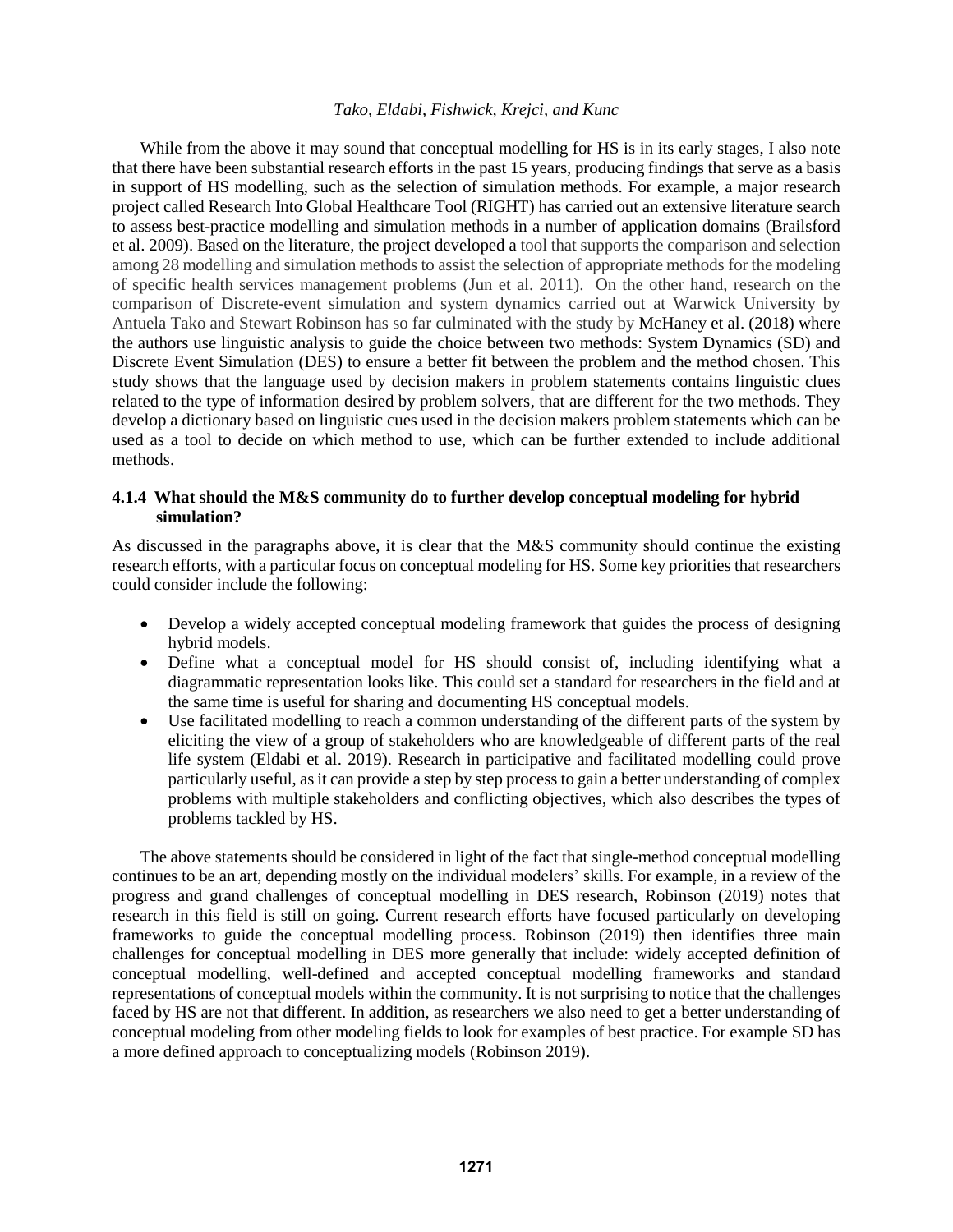While from the above it may sound that conceptual modelling for HS is in its early stages, I also note that there have been substantial research efforts in the past 15 years, producing findings that serve as a basis in support of HS modelling, such as the selection of simulation methods. For example, a major research project called Research Into Global Healthcare Tool (RIGHT) has carried out an extensive literature search to assess best-practice modelling and simulation methods in a number of application domains (Brailsford et al. 2009). Based on the literature, the project developed a tool that supports the comparison and selection among 28 modelling and simulation methods to assist the selection of appropriate methods for the modeling of specific health services management problems (Jun et al. 2011). On the other hand, research on the comparison of Discrete-event simulation and system dynamics carried out at Warwick University by Antuela Tako and Stewart Robinson has so far culminated with the study by McHaney et al. (2018) where the authors use linguistic analysis to guide the choice between two methods: System Dynamics (SD) and Discrete Event Simulation (DES) to ensure a better fit between the problem and the method chosen. This study shows that the language used by decision makers in problem statements contains linguistic clues related to the type of information desired by problem solvers, that are different for the two methods. They develop a dictionary based on linguistic cues used in the decision makers problem statements which can be used as a tool to decide on which method to use, which can be further extended to include additional methods.

### **4.1.4 What should the M&S community do to further develop conceptual modeling for hybrid simulation?**

As discussed in the paragraphs above, it is clear that the M&S community should continue the existing research efforts, with a particular focus on conceptual modeling for HS. Some key priorities that researchers could consider include the following:

- Develop a widely accepted conceptual modeling framework that guides the process of designing hybrid models.
- Define what a conceptual model for HS should consist of, including identifying what a diagrammatic representation looks like. This could set a standard for researchers in the field and at the same time is useful for sharing and documenting HS conceptual models.
- Use facilitated modelling to reach a common understanding of the different parts of the system by eliciting the view of a group of stakeholders who are knowledgeable of different parts of the real life system (Eldabi et al. 2019). Research in participative and facilitated modelling could prove particularly useful, as it can provide a step by step process to gain a better understanding of complex problems with multiple stakeholders and conflicting objectives, which also describes the types of problems tackled by HS.

The above statements should be considered in light of the fact that single-method conceptual modelling continues to be an art, depending mostly on the individual modelers' skills. For example, in a review of the progress and grand challenges of conceptual modelling in DES research, Robinson (2019) notes that research in this field is still on going. Current research efforts have focused particularly on developing frameworks to guide the conceptual modelling process. Robinson (2019) then identifies three main challenges for conceptual modelling in DES more generally that include: widely accepted definition of conceptual modelling, well-defined and accepted conceptual modelling frameworks and standard representations of conceptual models within the community. It is not surprising to notice that the challenges faced by HS are not that different. In addition, as researchers we also need to get a better understanding of conceptual modeling from other modeling fields to look for examples of best practice. For example SD has a more defined approach to conceptualizing models (Robinson 2019).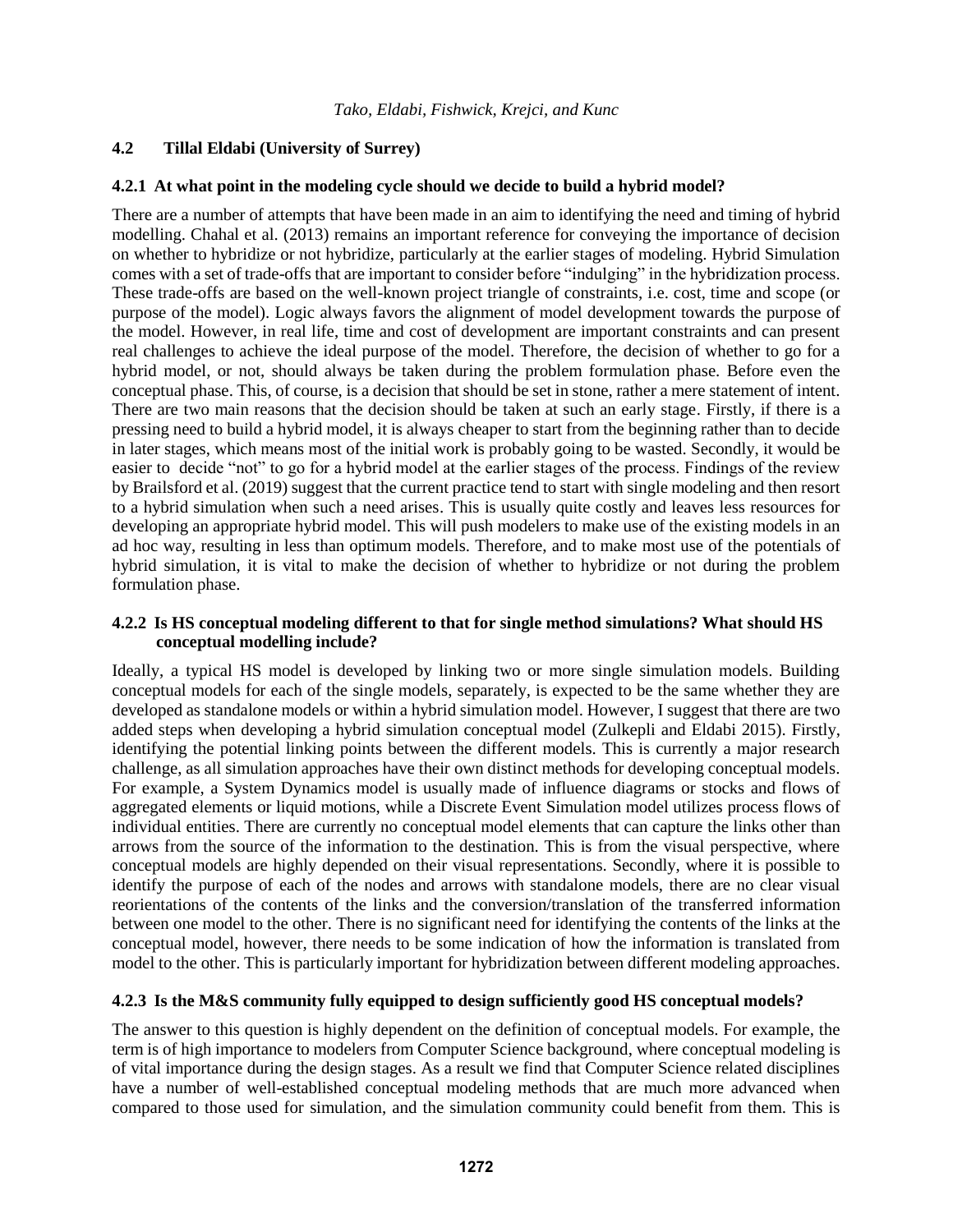### **4.2 Tillal Eldabi (University of Surrey)**

#### **4.2.1 At what point in the modeling cycle should we decide to build a hybrid model?**

There are a number of attempts that have been made in an aim to identifying the need and timing of hybrid modelling. Chahal et al. (2013) remains an important reference for conveying the importance of decision on whether to hybridize or not hybridize, particularly at the earlier stages of modeling. Hybrid Simulation comes with a set of trade-offs that are important to consider before "indulging" in the hybridization process. These trade-offs are based on the well-known project triangle of constraints, i.e. cost, time and scope (or purpose of the model). Logic always favors the alignment of model development towards the purpose of the model. However, in real life, time and cost of development are important constraints and can present real challenges to achieve the ideal purpose of the model. Therefore, the decision of whether to go for a hybrid model, or not, should always be taken during the problem formulation phase. Before even the conceptual phase. This, of course, is a decision that should be set in stone, rather a mere statement of intent. There are two main reasons that the decision should be taken at such an early stage. Firstly, if there is a pressing need to build a hybrid model, it is always cheaper to start from the beginning rather than to decide in later stages, which means most of the initial work is probably going to be wasted. Secondly, it would be easier to decide "not" to go for a hybrid model at the earlier stages of the process. Findings of the review by Brailsford et al. (2019) suggest that the current practice tend to start with single modeling and then resort to a hybrid simulation when such a need arises. This is usually quite costly and leaves less resources for developing an appropriate hybrid model. This will push modelers to make use of the existing models in an ad hoc way, resulting in less than optimum models. Therefore, and to make most use of the potentials of hybrid simulation, it is vital to make the decision of whether to hybridize or not during the problem formulation phase.

#### **4.2.2 Is HS conceptual modeling different to that for single method simulations? What should HS conceptual modelling include?**

Ideally, a typical HS model is developed by linking two or more single simulation models. Building conceptual models for each of the single models, separately, is expected to be the same whether they are developed as standalone models or within a hybrid simulation model. However, I suggest that there are two added steps when developing a hybrid simulation conceptual model (Zulkepli and Eldabi 2015). Firstly, identifying the potential linking points between the different models. This is currently a major research challenge, as all simulation approaches have their own distinct methods for developing conceptual models. For example, a System Dynamics model is usually made of influence diagrams or stocks and flows of aggregated elements or liquid motions, while a Discrete Event Simulation model utilizes process flows of individual entities. There are currently no conceptual model elements that can capture the links other than arrows from the source of the information to the destination. This is from the visual perspective, where conceptual models are highly depended on their visual representations. Secondly, where it is possible to identify the purpose of each of the nodes and arrows with standalone models, there are no clear visual reorientations of the contents of the links and the conversion/translation of the transferred information between one model to the other. There is no significant need for identifying the contents of the links at the conceptual model, however, there needs to be some indication of how the information is translated from model to the other. This is particularly important for hybridization between different modeling approaches.

#### **4.2.3 Is the M&S community fully equipped to design sufficiently good HS conceptual models?**

The answer to this question is highly dependent on the definition of conceptual models. For example, the term is of high importance to modelers from Computer Science background, where conceptual modeling is of vital importance during the design stages. As a result we find that Computer Science related disciplines have a number of well-established conceptual modeling methods that are much more advanced when compared to those used for simulation, and the simulation community could benefit from them. This is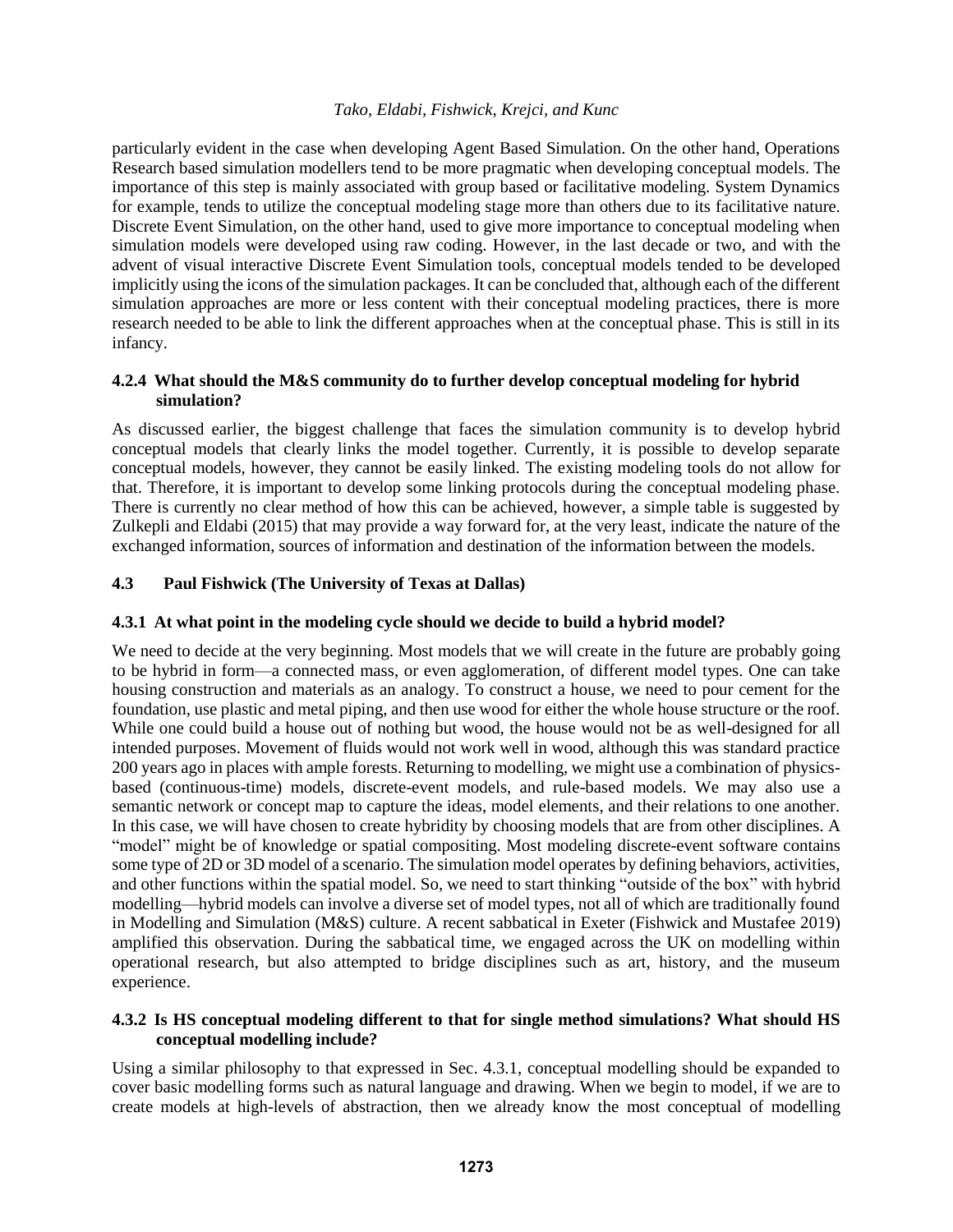particularly evident in the case when developing Agent Based Simulation. On the other hand, Operations Research based simulation modellers tend to be more pragmatic when developing conceptual models. The importance of this step is mainly associated with group based or facilitative modeling. System Dynamics for example, tends to utilize the conceptual modeling stage more than others due to its facilitative nature. Discrete Event Simulation, on the other hand, used to give more importance to conceptual modeling when simulation models were developed using raw coding. However, in the last decade or two, and with the advent of visual interactive Discrete Event Simulation tools, conceptual models tended to be developed implicitly using the icons of the simulation packages. It can be concluded that, although each of the different simulation approaches are more or less content with their conceptual modeling practices, there is more research needed to be able to link the different approaches when at the conceptual phase. This is still in its infancy.

# **4.2.4 What should the M&S community do to further develop conceptual modeling for hybrid simulation?**

As discussed earlier, the biggest challenge that faces the simulation community is to develop hybrid conceptual models that clearly links the model together. Currently, it is possible to develop separate conceptual models, however, they cannot be easily linked. The existing modeling tools do not allow for that. Therefore, it is important to develop some linking protocols during the conceptual modeling phase. There is currently no clear method of how this can be achieved, however, a simple table is suggested by Zulkepli and Eldabi (2015) that may provide a way forward for, at the very least, indicate the nature of the exchanged information, sources of information and destination of the information between the models.

# **4.3 Paul Fishwick (The University of Texas at Dallas)**

# **4.3.1 At what point in the modeling cycle should we decide to build a hybrid model?**

We need to decide at the very beginning. Most models that we will create in the future are probably going to be hybrid in form—a connected mass, or even agglomeration, of different model types. One can take housing construction and materials as an analogy. To construct a house, we need to pour cement for the foundation, use plastic and metal piping, and then use wood for either the whole house structure or the roof. While one could build a house out of nothing but wood, the house would not be as well-designed for all intended purposes. Movement of fluids would not work well in wood, although this was standard practice 200 years ago in places with ample forests. Returning to modelling, we might use a combination of physicsbased (continuous-time) models, discrete-event models, and rule-based models. We may also use a semantic network or concept map to capture the ideas, model elements, and their relations to one another. In this case, we will have chosen to create hybridity by choosing models that are from other disciplines. A "model" might be of knowledge or spatial compositing. Most modeling discrete-event software contains some type of 2D or 3D model of a scenario. The simulation model operates by defining behaviors, activities, and other functions within the spatial model. So, we need to start thinking "outside of the box" with hybrid modelling—hybrid models can involve a diverse set of model types, not all of which are traditionally found in Modelling and Simulation (M&S) culture. A recent sabbatical in Exeter (Fishwick and Mustafee 2019) amplified this observation. During the sabbatical time, we engaged across the UK on modelling within operational research, but also attempted to bridge disciplines such as art, history, and the museum experience.

# **4.3.2 Is HS conceptual modeling different to that for single method simulations? What should HS conceptual modelling include?**

Using a similar philosophy to that expressed in Sec. 4.3.1, conceptual modelling should be expanded to cover basic modelling forms such as natural language and drawing. When we begin to model, if we are to create models at high-levels of abstraction, then we already know the most conceptual of modelling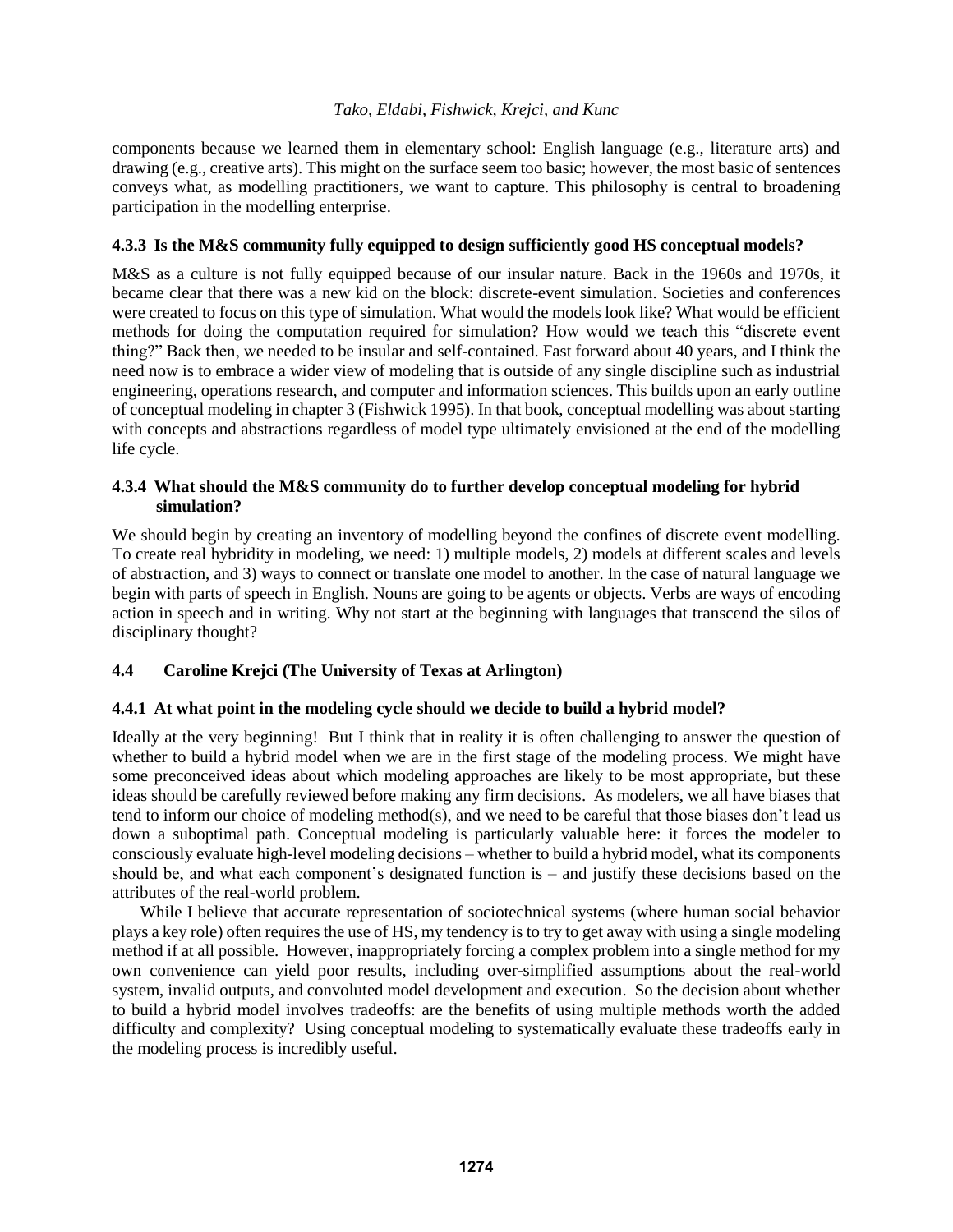components because we learned them in elementary school: English language (e.g., literature arts) and drawing (e.g., creative arts). This might on the surface seem too basic; however, the most basic of sentences conveys what, as modelling practitioners, we want to capture. This philosophy is central to broadening participation in the modelling enterprise.

# **4.3.3 Is the M&S community fully equipped to design sufficiently good HS conceptual models?**

M&S as a culture is not fully equipped because of our insular nature. Back in the 1960s and 1970s, it became clear that there was a new kid on the block: discrete-event simulation. Societies and conferences were created to focus on this type of simulation. What would the models look like? What would be efficient methods for doing the computation required for simulation? How would we teach this "discrete event thing?" Back then, we needed to be insular and self-contained. Fast forward about 40 years, and I think the need now is to embrace a wider view of modeling that is outside of any single discipline such as industrial engineering, operations research, and computer and information sciences. This builds upon an early outline of conceptual modeling in chapter 3 (Fishwick 1995). In that book, conceptual modelling was about starting with concepts and abstractions regardless of model type ultimately envisioned at the end of the modelling life cycle.

# **4.3.4 What should the M&S community do to further develop conceptual modeling for hybrid simulation?**

We should begin by creating an inventory of modelling beyond the confines of discrete event modelling. To create real hybridity in modeling, we need: 1) multiple models, 2) models at different scales and levels of abstraction, and 3) ways to connect or translate one model to another. In the case of natural language we begin with parts of speech in English. Nouns are going to be agents or objects. Verbs are ways of encoding action in speech and in writing. Why not start at the beginning with languages that transcend the silos of disciplinary thought?

# **4.4 Caroline Krejci (The University of Texas at Arlington)**

# **4.4.1 At what point in the modeling cycle should we decide to build a hybrid model?**

Ideally at the very beginning! But I think that in reality it is often challenging to answer the question of whether to build a hybrid model when we are in the first stage of the modeling process. We might have some preconceived ideas about which modeling approaches are likely to be most appropriate, but these ideas should be carefully reviewed before making any firm decisions. As modelers, we all have biases that tend to inform our choice of modeling method(s), and we need to be careful that those biases don't lead us down a suboptimal path. Conceptual modeling is particularly valuable here: it forces the modeler to consciously evaluate high-level modeling decisions – whether to build a hybrid model, what its components should be, and what each component's designated function is – and justify these decisions based on the attributes of the real-world problem.

While I believe that accurate representation of sociotechnical systems (where human social behavior plays a key role) often requires the use of HS, my tendency is to try to get away with using a single modeling method if at all possible. However, inappropriately forcing a complex problem into a single method for my own convenience can yield poor results, including over-simplified assumptions about the real-world system, invalid outputs, and convoluted model development and execution. So the decision about whether to build a hybrid model involves tradeoffs: are the benefits of using multiple methods worth the added difficulty and complexity? Using conceptual modeling to systematically evaluate these tradeoffs early in the modeling process is incredibly useful.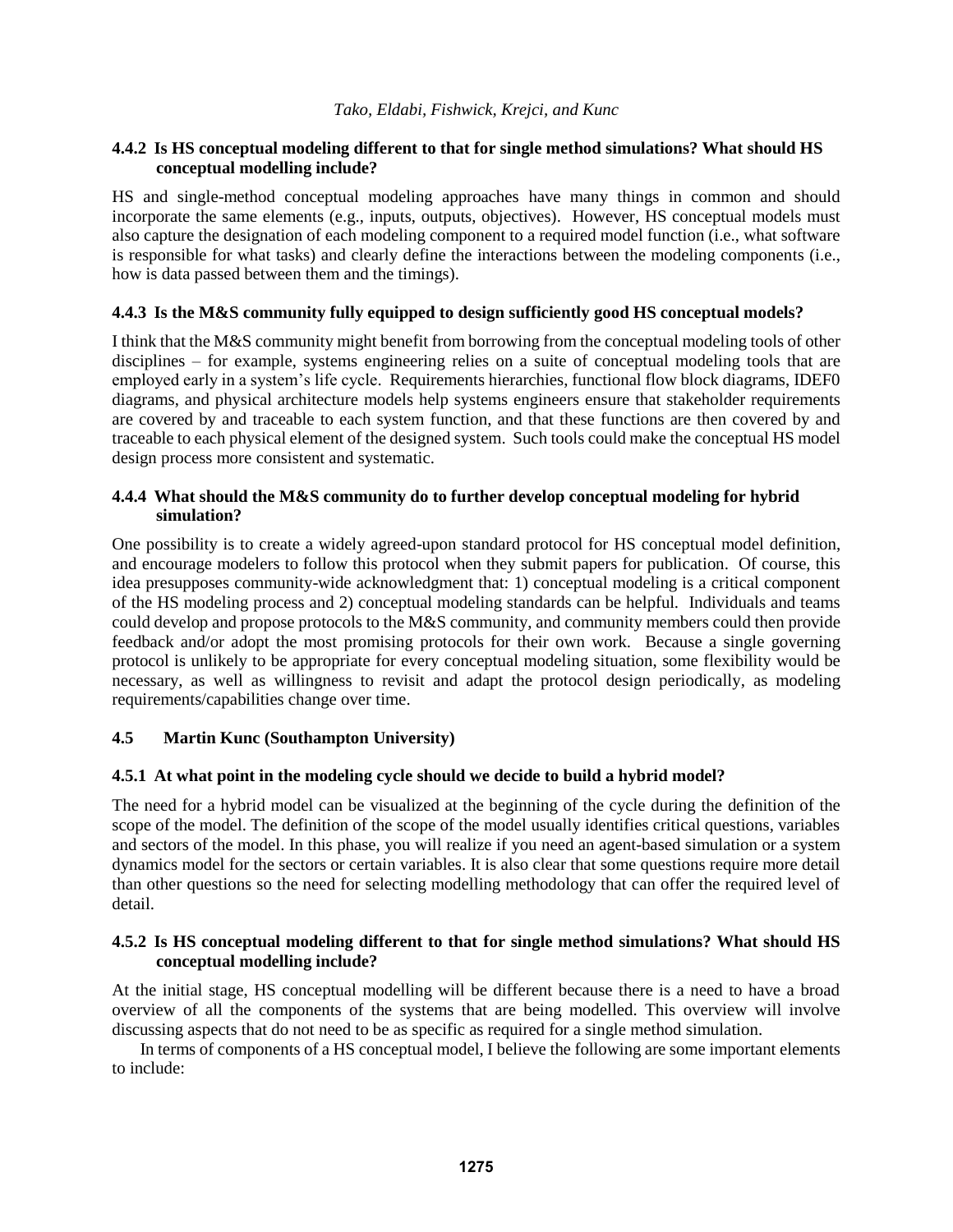# **4.4.2 Is HS conceptual modeling different to that for single method simulations? What should HS conceptual modelling include?**

HS and single-method conceptual modeling approaches have many things in common and should incorporate the same elements (e.g., inputs, outputs, objectives). However, HS conceptual models must also capture the designation of each modeling component to a required model function (i.e., what software is responsible for what tasks) and clearly define the interactions between the modeling components (i.e., how is data passed between them and the timings).

# **4.4.3 Is the M&S community fully equipped to design sufficiently good HS conceptual models?**

I think that the M&S community might benefit from borrowing from the conceptual modeling tools of other disciplines – for example, systems engineering relies on a suite of conceptual modeling tools that are employed early in a system's life cycle. Requirements hierarchies, functional flow block diagrams, IDEF0 diagrams, and physical architecture models help systems engineers ensure that stakeholder requirements are covered by and traceable to each system function, and that these functions are then covered by and traceable to each physical element of the designed system. Such tools could make the conceptual HS model design process more consistent and systematic.

# **4.4.4 What should the M&S community do to further develop conceptual modeling for hybrid simulation?**

One possibility is to create a widely agreed-upon standard protocol for HS conceptual model definition, and encourage modelers to follow this protocol when they submit papers for publication. Of course, this idea presupposes community-wide acknowledgment that: 1) conceptual modeling is a critical component of the HS modeling process and 2) conceptual modeling standards can be helpful. Individuals and teams could develop and propose protocols to the M&S community, and community members could then provide feedback and/or adopt the most promising protocols for their own work. Because a single governing protocol is unlikely to be appropriate for every conceptual modeling situation, some flexibility would be necessary, as well as willingness to revisit and adapt the protocol design periodically, as modeling requirements/capabilities change over time.

# **4.5 Martin Kunc (Southampton University)**

# **4.5.1 At what point in the modeling cycle should we decide to build a hybrid model?**

The need for a hybrid model can be visualized at the beginning of the cycle during the definition of the scope of the model. The definition of the scope of the model usually identifies critical questions, variables and sectors of the model. In this phase, you will realize if you need an agent-based simulation or a system dynamics model for the sectors or certain variables. It is also clear that some questions require more detail than other questions so the need for selecting modelling methodology that can offer the required level of detail.

# **4.5.2 Is HS conceptual modeling different to that for single method simulations? What should HS conceptual modelling include?**

At the initial stage, HS conceptual modelling will be different because there is a need to have a broad overview of all the components of the systems that are being modelled. This overview will involve discussing aspects that do not need to be as specific as required for a single method simulation.

In terms of components of a HS conceptual model, I believe the following are some important elements to include: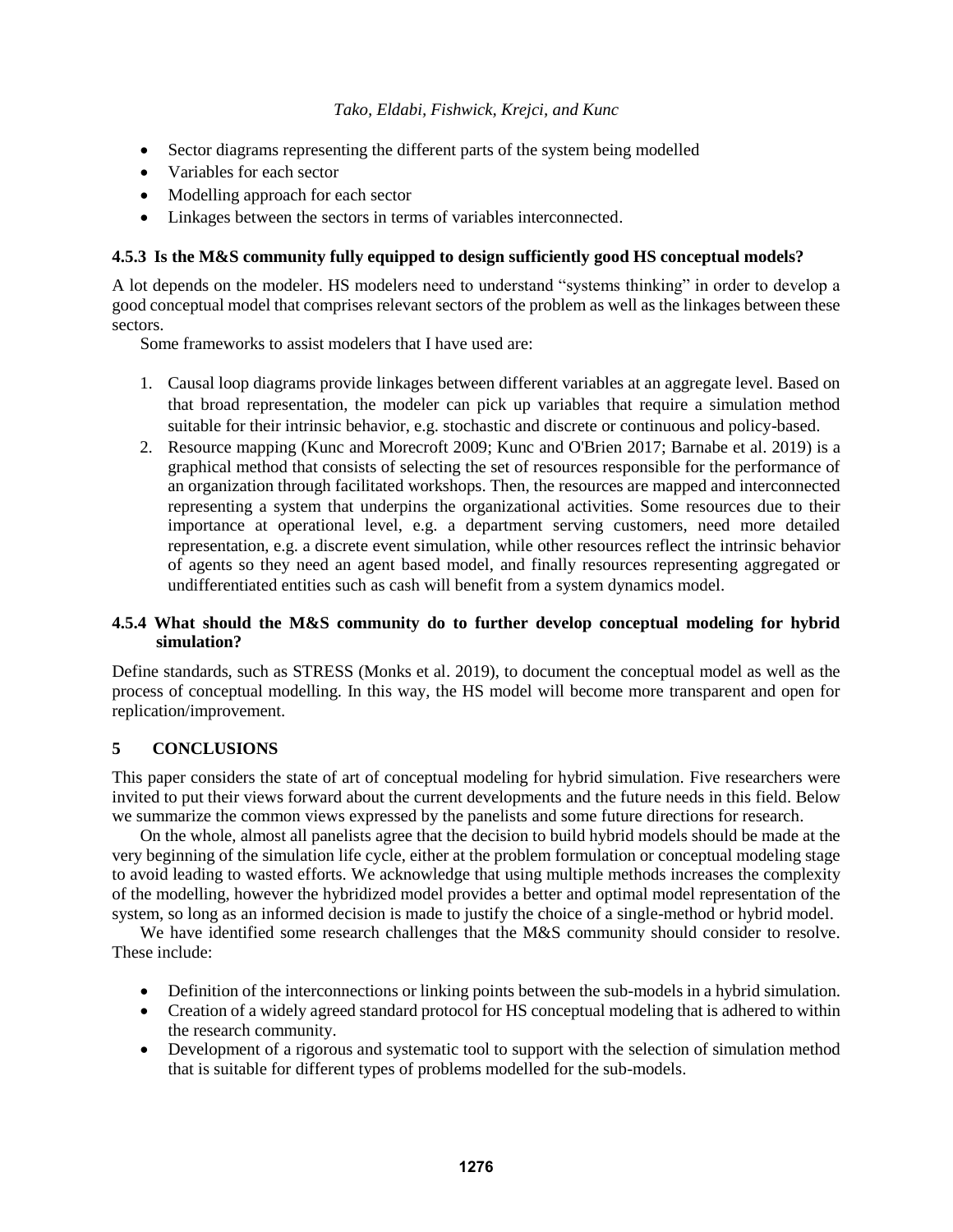- Sector diagrams representing the different parts of the system being modelled
- Variables for each sector
- Modelling approach for each sector
- Linkages between the sectors in terms of variables interconnected.

# **4.5.3 Is the M&S community fully equipped to design sufficiently good HS conceptual models?**

A lot depends on the modeler. HS modelers need to understand "systems thinking" in order to develop a good conceptual model that comprises relevant sectors of the problem as well as the linkages between these sectors.

Some frameworks to assist modelers that I have used are:

- 1. Causal loop diagrams provide linkages between different variables at an aggregate level. Based on that broad representation, the modeler can pick up variables that require a simulation method suitable for their intrinsic behavior, e.g. stochastic and discrete or continuous and policy-based.
- 2. Resource mapping (Kunc and Morecroft 2009; Kunc and O'Brien 2017; Barnabe et al. 2019) is a graphical method that consists of selecting the set of resources responsible for the performance of an organization through facilitated workshops. Then, the resources are mapped and interconnected representing a system that underpins the organizational activities. Some resources due to their importance at operational level, e.g. a department serving customers, need more detailed representation, e.g. a discrete event simulation, while other resources reflect the intrinsic behavior of agents so they need an agent based model, and finally resources representing aggregated or undifferentiated entities such as cash will benefit from a system dynamics model.

# **4.5.4 What should the M&S community do to further develop conceptual modeling for hybrid simulation?**

Define standards, such as STRESS (Monks et al. 2019), to document the conceptual model as well as the process of conceptual modelling. In this way, the HS model will become more transparent and open for replication/improvement.

# **5 CONCLUSIONS**

This paper considers the state of art of conceptual modeling for hybrid simulation. Five researchers were invited to put their views forward about the current developments and the future needs in this field. Below we summarize the common views expressed by the panelists and some future directions for research.

On the whole, almost all panelists agree that the decision to build hybrid models should be made at the very beginning of the simulation life cycle, either at the problem formulation or conceptual modeling stage to avoid leading to wasted efforts. We acknowledge that using multiple methods increases the complexity of the modelling, however the hybridized model provides a better and optimal model representation of the system, so long as an informed decision is made to justify the choice of a single-method or hybrid model.

We have identified some research challenges that the M&S community should consider to resolve. These include:

- Definition of the interconnections or linking points between the sub-models in a hybrid simulation.
- Creation of a widely agreed standard protocol for HS conceptual modeling that is adhered to within the research community.
- Development of a rigorous and systematic tool to support with the selection of simulation method that is suitable for different types of problems modelled for the sub-models.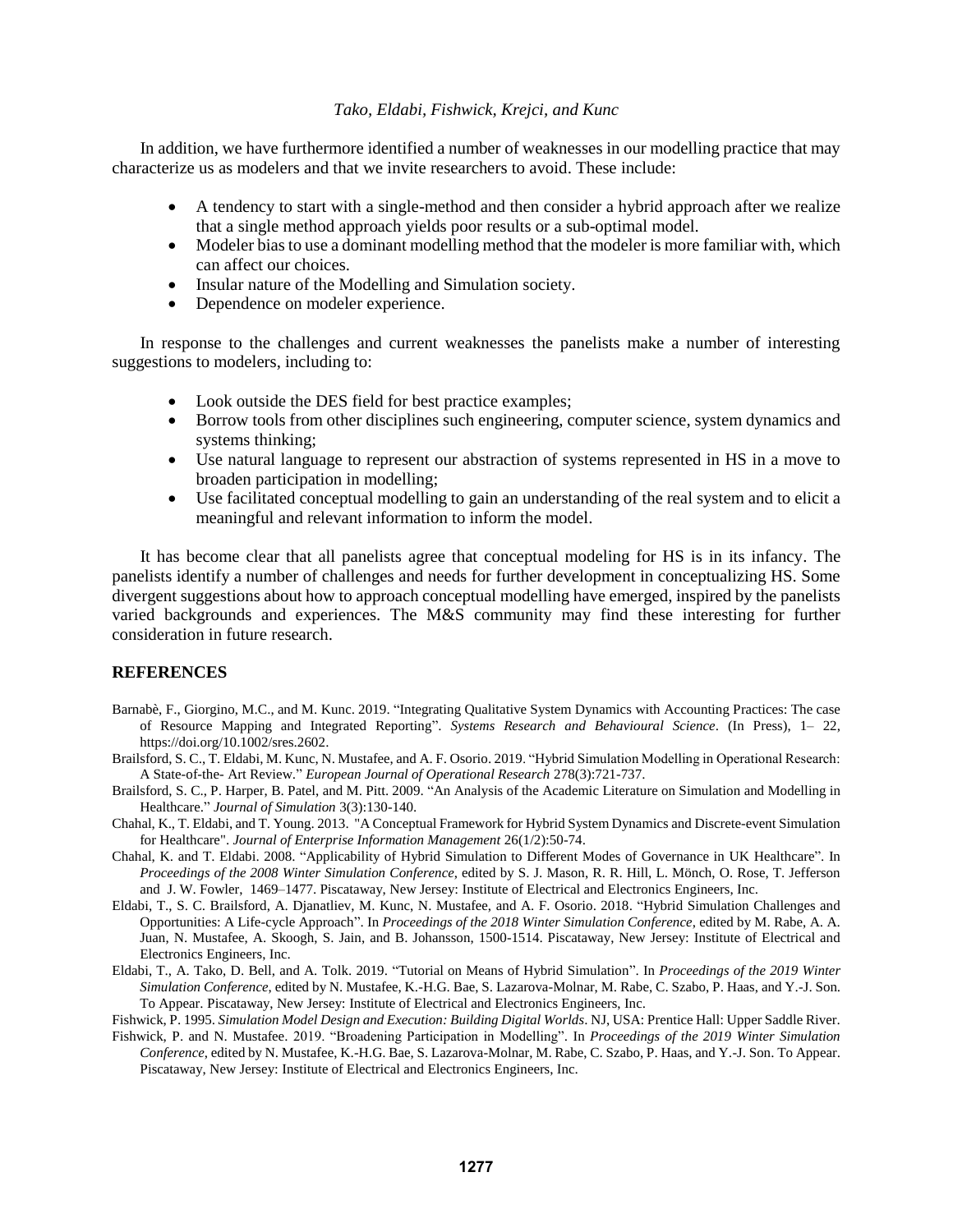In addition, we have furthermore identified a number of weaknesses in our modelling practice that may characterize us as modelers and that we invite researchers to avoid. These include:

- A tendency to start with a single-method and then consider a hybrid approach after we realize that a single method approach yields poor results or a sub-optimal model.
- Modeler bias to use a dominant modelling method that the modeler is more familiar with, which can affect our choices.
- Insular nature of the Modelling and Simulation society.
- Dependence on modeler experience.

In response to the challenges and current weaknesses the panelists make a number of interesting suggestions to modelers, including to:

- Look outside the DES field for best practice examples;
- Borrow tools from other disciplines such engineering, computer science, system dynamics and systems thinking;
- Use natural language to represent our abstraction of systems represented in HS in a move to broaden participation in modelling;
- Use facilitated conceptual modelling to gain an understanding of the real system and to elicit a meaningful and relevant information to inform the model.

It has become clear that all panelists agree that conceptual modeling for HS is in its infancy. The panelists identify a number of challenges and needs for further development in conceptualizing HS. Some divergent suggestions about how to approach conceptual modelling have emerged, inspired by the panelists varied backgrounds and experiences. The M&S community may find these interesting for further consideration in future research.

#### **REFERENCES**

- Barnabè, F., Giorgino, M.C., and M. Kunc. 2019. "Integrating Qualitative System Dynamics with Accounting Practices: The case of Resource Mapping and Integrated Reporting". *Systems Research and Behavioural Science*. (In Press), 1– 22, https://doi.org/10.1002/sres.2602.
- Brailsford, S. C., T. Eldabi, M. Kunc, N. Mustafee, and A. F. Osorio. 2019. "Hybrid Simulation Modelling in Operational Research: A State-of-the- Art Review." *European Journal of Operational Research* 278(3):721-737.
- Brailsford, S. C., P. Harper, B. Patel, and M. Pitt. 2009. "An Analysis of the Academic Literature on Simulation and Modelling in Healthcare." *Journal of Simulation* 3(3):130-140.
- Chahal, K., T. Eldabi, and T. Young. 2013. "A Conceptual Framework for Hybrid System Dynamics and Discrete-event Simulation for Healthcare". *Journal of Enterprise Information Management* 26(1/2):50-74.
- Chahal, K. and T. Eldabi. 2008. "Applicability of Hybrid Simulation to Different Modes of Governance in UK Healthcare". In *Proceedings of the 2008 Winter Simulation Conference*, edited by S. J. Mason, R. R. Hill, L. Mönch, O. Rose, T. Jefferson and J. W. Fowler, 1469–1477. Piscataway, New Jersey: Institute of Electrical and Electronics Engineers, Inc.
- Eldabi, T., S. C. Brailsford, A. Djanatliev, M. Kunc, N. Mustafee, and A. F. Osorio. 2018. "Hybrid Simulation Challenges and Opportunities: A Life-cycle Approach". In *Proceedings of the 2018 Winter Simulation Conference*, edited by M. Rabe, A. A. Juan, N. Mustafee, A. Skoogh, S. Jain, and B. Johansson, 1500-1514. Piscataway, New Jersey: Institute of Electrical and Electronics Engineers, Inc.
- Eldabi, T., A. Tako, D. Bell, and A. Tolk. 2019. "Tutorial on Means of Hybrid Simulation". In *Proceedings of the 2019 Winter Simulation Conference*, edited by N. Mustafee, K.-H.G. Bae, S. Lazarova-Molnar, M. Rabe, C. Szabo, P. Haas, and Y.-J. Son. To Appear. Piscataway, New Jersey: Institute of Electrical and Electronics Engineers, Inc.
- Fishwick, P. 1995. *Simulation Model Design and Execution: Building Digital Worlds*. NJ, USA: Prentice Hall: Upper Saddle River. Fishwick, P. and N. Mustafee. 2019. "Broadening Participation in Modelling". In *Proceedings of the 2019 Winter Simulation*
- *Conference*, edited by N. Mustafee, K.-H.G. Bae, S. Lazarova-Molnar, M. Rabe, C. Szabo, P. Haas, and Y.-J. Son. To Appear. Piscataway, New Jersey: Institute of Electrical and Electronics Engineers, Inc.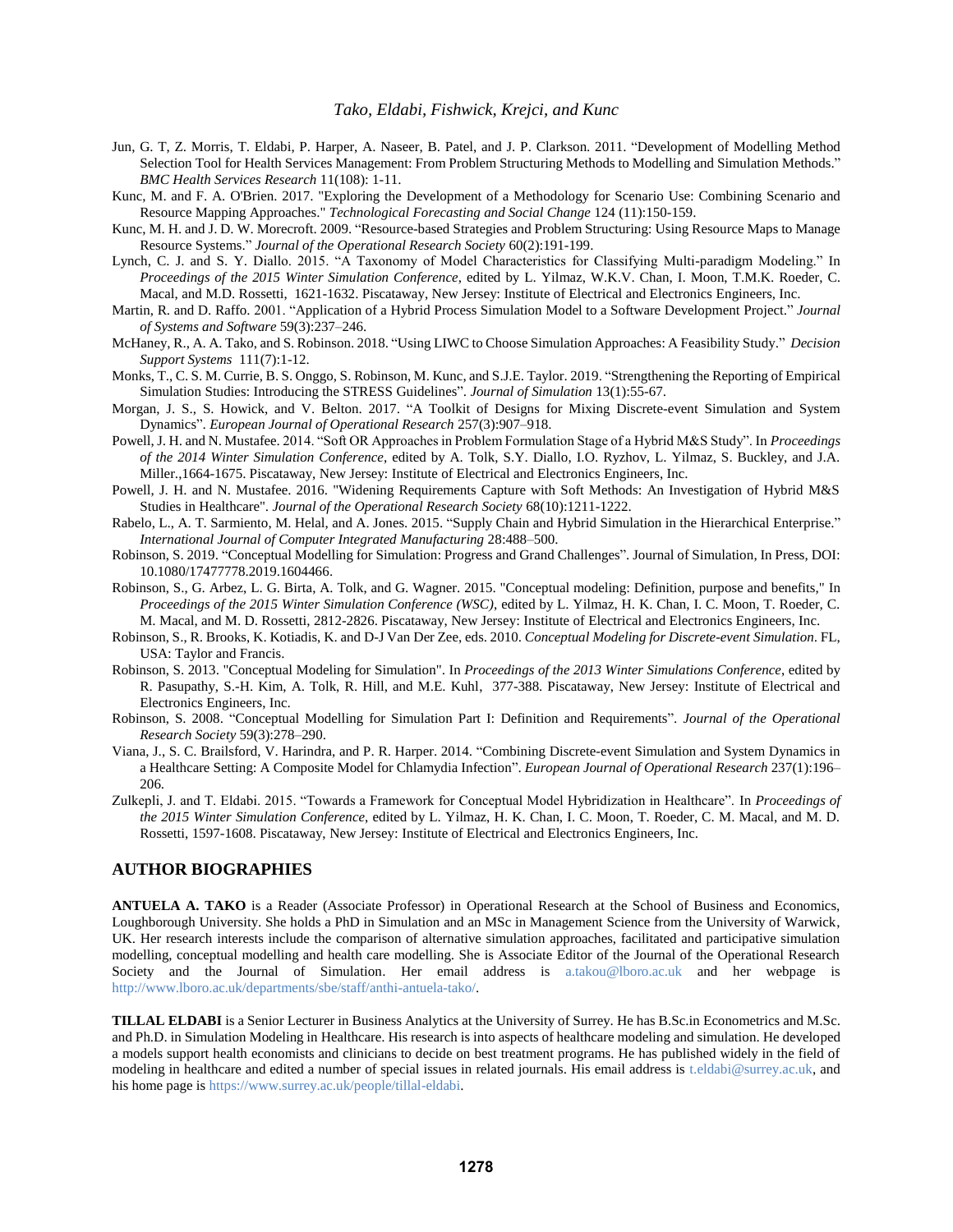- Jun, G. T, Z. Morris, T. Eldabi, P. Harper, A. Naseer, B. Patel, and J. P. Clarkson. 2011. "Development of Modelling Method Selection Tool for Health Services Management: From Problem Structuring Methods to Modelling and Simulation Methods." *BMC Health Services Research* 11(108): 1-11.
- Kunc, M. and F. A. O'Brien. 2017. "Exploring the Development of a Methodology for Scenario Use: Combining Scenario and Resource Mapping Approaches." *Technological Forecasting and Social Change* 124 (11):150-159.
- Kunc, M. H. and J. D. W. Morecroft. 2009. "Resource-based Strategies and Problem Structuring: Using Resource Maps to Manage Resource Systems." *Journal of the Operational Research Society* 60(2):191-199.
- Lynch, C. J. and S. Y. Diallo. 2015. "A Taxonomy of Model Characteristics for Classifying Multi-paradigm Modeling." In *Proceedings of the 2015 Winter Simulation Conference*, edited by L. Yilmaz, W.K.V. Chan, I. Moon, T.M.K. Roeder, C. Macal, and M.D. Rossetti, 1621-1632. Piscataway, New Jersey: Institute of Electrical and Electronics Engineers, Inc.
- Martin, R. and D. Raffo. 2001. "Application of a Hybrid Process Simulation Model to a Software Development Project." *Journal of Systems and Software* 59(3):237–246.
- McHaney, R., A. A. Tako, and S. Robinson. 2018. "Using LIWC to Choose Simulation Approaches: A Feasibility Study." *Decision Support Systems* 111(7):1-12.
- Monks, T., C. S. M. Currie, B. S. Onggo, S. Robinson, M. Kunc, and S.J.E. Taylor. 2019. "Strengthening the Reporting of Empirical Simulation Studies: Introducing the STRESS Guidelines". *Journal of Simulation* 13(1):55-67.
- Morgan, J. S., S. Howick, and V. Belton. 2017. "A Toolkit of Designs for Mixing Discrete-event Simulation and System Dynamics". *European Journal of Operational Research* 257(3):907–918.
- Powell, J. H. and N. Mustafee. 2014. "Soft OR Approaches in Problem Formulation Stage of a Hybrid M&S Study". In *Proceedings of the 2014 Winter Simulation Conference*, edited by A. Tolk, S.Y. Diallo, I.O. Ryzhov, L. Yilmaz, S. Buckley, and J.A. Miller.,1664-1675. Piscataway, New Jersey: Institute of Electrical and Electronics Engineers, Inc.
- Powell, J. H. and N. Mustafee. 2016. "Widening Requirements Capture with Soft Methods: An Investigation of Hybrid M&S Studies in Healthcare". *Journal of the Operational Research Society* 68(10):1211-1222.
- Rabelo, L., A. T. Sarmiento, M. Helal, and A. Jones. 2015. "Supply Chain and Hybrid Simulation in the Hierarchical Enterprise." *International Journal of Computer Integrated Manufacturing* 28:488–500.
- Robinson, S. 2019. "Conceptual Modelling for Simulation: Progress and Grand Challenges". Journal of Simulation, In Press, DOI: 10.1080/17477778.2019.1604466.
- Robinson, S., G. Arbez, L. G. Birta, A. Tolk, and G. Wagner. 2015. "Conceptual modeling: Definition, purpose and benefits," In *Proceedings of the 2015 Winter Simulation Conference (WSC)*, edited by L. Yilmaz, H. K. Chan, I. C. Moon, T. Roeder, C. M. Macal, and M. D. Rossetti, 2812-2826. Piscataway, New Jersey: Institute of Electrical and Electronics Engineers, Inc.
- Robinson, S., R. Brooks, K. Kotiadis, K. and D-J Van Der Zee, eds. 2010. *Conceptual Modeling for Discrete-event Simulation*. FL, USA: Taylor and Francis.
- Robinson, S. 2013. "Conceptual Modeling for Simulation". In *Proceedings of the 2013 Winter Simulations Conference*, edited by R. Pasupathy, S.-H. Kim, A. Tolk, R. Hill, and M.E. Kuhl, 377-388. Piscataway, New Jersey: Institute of Electrical and Electronics Engineers, Inc.
- Robinson, S. 2008. "Conceptual Modelling for Simulation Part I: Definition and Requirements". *Journal of the Operational Research Society* 59(3):278–290.
- Viana, J., S. C. Brailsford, V. Harindra, and P. R. Harper. 2014. "Combining Discrete-event Simulation and System Dynamics in a Healthcare Setting: A Composite Model for Chlamydia Infection". *European Journal of Operational Research* 237(1):196– 206.
- Zulkepli, J. and T. Eldabi. 2015. "Towards a Framework for Conceptual Model Hybridization in Healthcare". In *Proceedings of the 2015 Winter Simulation Conference*, edited by L. Yilmaz, H. K. Chan, I. C. Moon, T. Roeder, C. M. Macal, and M. D. Rossetti, 1597-1608. Piscataway, New Jersey: Institute of Electrical and Electronics Engineers, Inc.

#### **AUTHOR BIOGRAPHIES**

**ANTUELA A. TAKO** is a Reader (Associate Professor) in Operational Research at the School of Business and Economics, Loughborough University. She holds a PhD in Simulation and an MSc in Management Science from the University of Warwick, UK. Her research interests include the comparison of alternative simulation approaches, facilitated and participative simulation modelling, conceptual modelling and health care modelling. She is Associate Editor of the Journal of the Operational Research Society and the Journal of Simulation. Her email address is [a.takou@lboro.ac.uk](mailto:a.takou@lboro.ac.uk) and her webpage is [http://www.lboro.ac.uk/departments/sbe/staff/anthi-antuela-tako/.](http://www.lboro.ac.uk/departments/sbe/staff/anthi-antuela-tako/)

**TILLAL ELDABI** is a Senior Lecturer in Business Analytics at the University of Surrey. He has B.Sc.in Econometrics and M.Sc. and Ph.D. in Simulation Modeling in Healthcare. His research is into aspects of healthcare modeling and simulation. He developed a models support health economists and clinicians to decide on best treatment programs. He has published widely in the field of modeling in healthcare and edited a number of special issues in related journals. His email address is [t.eldabi@surrey.ac.uk,](mailto:t.eldabi@surrey.ac.uk) and his home page i[s https://www.surrey.ac.uk/people/tillal-eldabi.](https://www.surrey.ac.uk/people/tillal-eldabi)